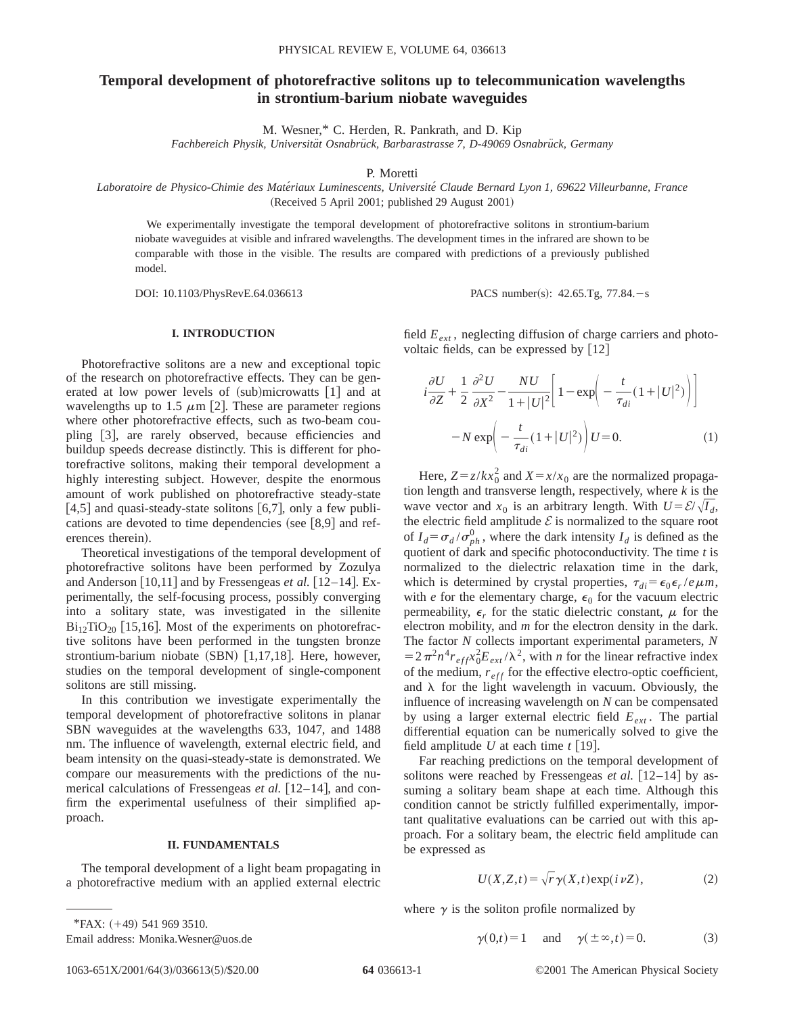# **Temporal development of photorefractive solitons up to telecommunication wavelengths in strontium-barium niobate waveguides**

M. Wesner,\* C. Herden, R. Pankrath, and D. Kip

*Fachbereich Physik, Universita¨t Osnabru¨ck, Barbarastrasse 7, D-49069 Osnabru¨ck, Germany*

P. Moretti

*Laboratoire de Physico-Chimie des Mate´riaux Luminescents, Universite´ Claude Bernard Lyon 1, 69622 Villeurbanne, France* (Received 5 April 2001; published 29 August 2001)

We experimentally investigate the temporal development of photorefractive solitons in strontium-barium niobate waveguides at visible and infrared wavelengths. The development times in the infrared are shown to be comparable with those in the visible. The results are compared with predictions of a previously published model.

DOI: 10.1103/PhysRevE.64.036613 PACS number(s): 42.65.Tg, 77.84.-s

## **I. INTRODUCTION**

Photorefractive solitons are a new and exceptional topic of the research on photorefractive effects. They can be generated at low power levels of  $(sub)$ microwatts  $[1]$  and at wavelengths up to 1.5  $\mu$ m [2]. These are parameter regions where other photorefractive effects, such as two-beam coupling [3], are rarely observed, because efficiencies and buildup speeds decrease distinctly. This is different for photorefractive solitons, making their temporal development a highly interesting subject. However, despite the enormous amount of work published on photorefractive steady-state [4,5] and quasi-steady-state solitons [6,7], only a few publications are devoted to time dependencies (see  $[8,9]$  and references therein).

Theoretical investigations of the temporal development of photorefractive solitons have been performed by Zozulya and Anderson  $[10,11]$  and by Fressengeas *et al.*  $[12-14]$ . Experimentally, the self-focusing process, possibly converging into a solitary state, was investigated in the sillenite  $Bi_{12}TiO_{20}$  [15,16]. Most of the experiments on photorefractive solitons have been performed in the tungsten bronze strontium-barium niobate  $(SBN)$  [1,17,18]. Here, however, studies on the temporal development of single-component solitons are still missing.

In this contribution we investigate experimentally the temporal development of photorefractive solitons in planar SBN waveguides at the wavelengths 633, 1047, and 1488 nm. The influence of wavelength, external electric field, and beam intensity on the quasi-steady-state is demonstrated. We compare our measurements with the predictions of the numerical calculations of Fressengeas *et al.* [12–14], and confirm the experimental usefulness of their simplified approach.

### **II. FUNDAMENTALS**

The temporal development of a light beam propagating in a photorefractive medium with an applied external electric field  $E_{ext}$ , neglecting diffusion of charge carriers and photovoltaic fields, can be expressed by  $[12]$ 

$$
i\frac{\partial U}{\partial Z} + \frac{1}{2} \frac{\partial^2 U}{\partial X^2} - \frac{NU}{1+|U|^2} \left[ 1 - \exp\left(-\frac{t}{\tau_{di}}(1+|U|^2)\right) \right]
$$

$$
-N \exp\left(-\frac{t}{\tau_{di}}(1+|U|^2)\right)U = 0.
$$
 (1)

Here,  $Z = z/kx_0^2$  and  $X = x/x_0$  are the normalized propagation length and transverse length, respectively, where *k* is the wave vector and  $x_0$  is an arbitrary length. With  $U = \mathcal{E}/\sqrt{I_d}$ , the electric field amplitude  $\mathcal E$  is normalized to the square root of  $I_d = \sigma_d / \sigma_{ph}^0$ , where the dark intensity  $I_d$  is defined as the quotient of dark and specific photoconductivity. The time *t* is normalized to the dielectric relaxation time in the dark, which is determined by crystal properties,  $\tau_{di} = \epsilon_0 \epsilon_r / e \mu m$ , with *e* for the elementary charge,  $\epsilon_0$  for the vacuum electric permeability,  $\epsilon_r$  for the static dielectric constant,  $\mu$  for the electron mobility, and *m* for the electron density in the dark. The factor *N* collects important experimental parameters, *N*  $=2\pi^2 n^4 r_{eff} x_0^2 E_{ext}/\lambda^2$ , with *n* for the linear refractive index of the medium,  $r_{eff}$  for the effective electro-optic coefficient, and  $\lambda$  for the light wavelength in vacuum. Obviously, the influence of increasing wavelength on *N* can be compensated by using a larger external electric field  $E_{ext}$ . The partial differential equation can be numerically solved to give the field amplitude  $U$  at each time  $t$  [19].

Far reaching predictions on the temporal development of solitons were reached by Fressengeas  $et al.$  [12–14] by assuming a solitary beam shape at each time. Although this condition cannot be strictly fulfilled experimentally, important qualitative evaluations can be carried out with this approach. For a solitary beam, the electric field amplitude can be expressed as

$$
U(X, Z, t) = \sqrt{r} \gamma(X, t) \exp(i \nu Z), \qquad (2)
$$

where  $\gamma$  is the soliton profile normalized by

$$
\gamma(0,t) = 1
$$
 and  $\gamma(\pm \infty, t) = 0.$  (3)

Email address: Monika.Wesner@uos.de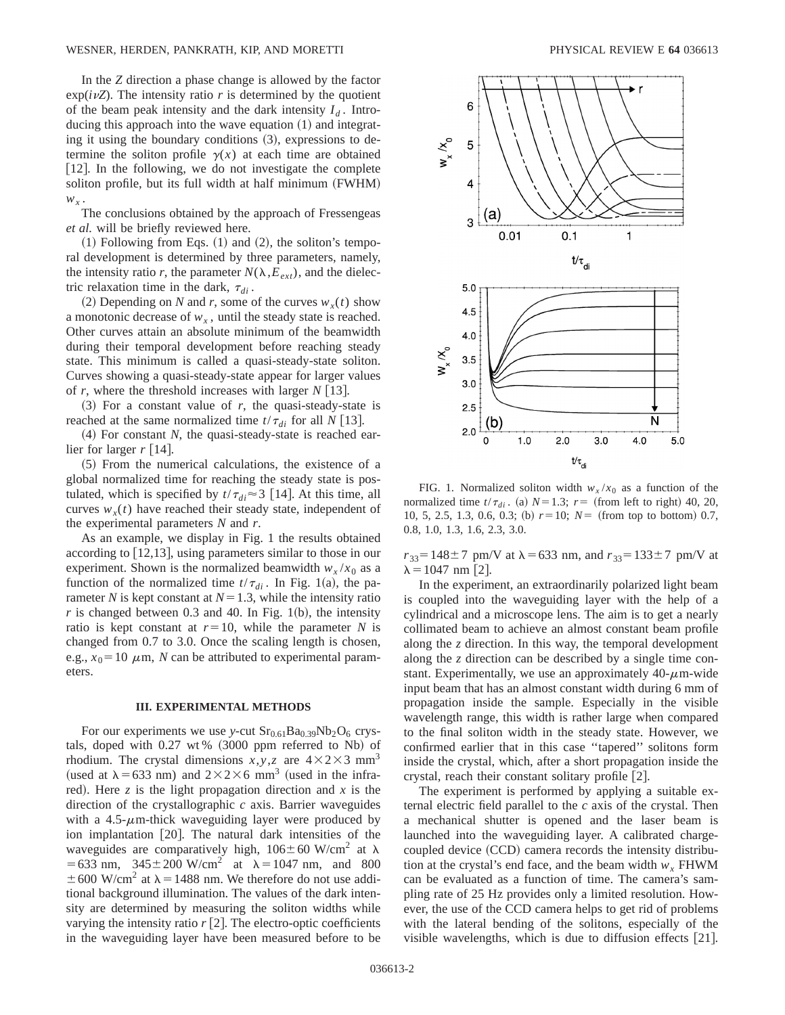In the *Z* direction a phase change is allowed by the factor  $\exp(i\nu Z)$ . The intensity ratio *r* is determined by the quotient of the beam peak intensity and the dark intensity  $I_d$ . Introducing this approach into the wave equation  $(1)$  and integrating it using the boundary conditions  $(3)$ , expressions to determine the soliton profile  $\gamma(x)$  at each time are obtained  $[12]$ . In the following, we do not investigate the complete soliton profile, but its full width at half minimum (FWHM)  $W_x$ .

The conclusions obtained by the approach of Fressengeas *et al.* will be briefly reviewed here.

 $(1)$  Following from Eqs.  $(1)$  and  $(2)$ , the soliton's temporal development is determined by three parameters, namely, the intensity ratio *r*, the parameter  $N(\lambda, E_{ext})$ , and the dielectric relaxation time in the dark,  $\tau_{di}$ .

(2) Depending on *N* and *r*, some of the curves  $w_x(t)$  show a monotonic decrease of  $w_x$ , until the steady state is reached. Other curves attain an absolute minimum of the beamwidth during their temporal development before reaching steady state. This minimum is called a quasi-steady-state soliton. Curves showing a quasi-steady-state appear for larger values of *r*, where the threshold increases with larger  $N$  [13].

 $(3)$  For a constant value of *r*, the quasi-steady-state is reached at the same normalized time  $t/\tau_{di}$  for all *N* [13].

 $(4)$  For constant *N*, the quasi-steady-state is reached earlier for larger  $r \lceil 14 \rceil$ .

 $(5)$  From the numerical calculations, the existence of a global normalized time for reaching the steady state is postulated, which is specified by  $t/\tau_{di} \approx 3$  [14]. At this time, all curves  $w_r(t)$  have reached their steady state, independent of the experimental parameters *N* and *r*.

As an example, we display in Fig. 1 the results obtained according to  $\lfloor 12,13 \rfloor$ , using parameters similar to those in our experiment. Shown is the normalized beamwidth  $w_x/x_0$  as a function of the normalized time  $t/\tau_{di}$ . In Fig. 1(a), the parameter *N* is kept constant at  $N=1.3$ , while the intensity ratio  $r$  is changed between 0.3 and 40. In Fig. 1(b), the intensity ratio is kept constant at  $r=10$ , while the parameter *N* is changed from 0.7 to 3.0. Once the scaling length is chosen, e.g.,  $x_0 = 10 \mu$ m, *N* can be attributed to experimental parameters.

#### **III. EXPERIMENTAL METHODS**

For our experiments we use *y*-cut  $Sr<sub>0.61</sub>Ba<sub>0.39</sub>Nb<sub>2</sub>O<sub>6</sub>$  crystals, doped with  $0.27$  wt%  $(3000$  ppm referred to Nb) of rhodium. The crystal dimensions  $x, y, z$  are  $4 \times 2 \times 3$  mm<sup>3</sup> (used at  $\lambda$  = 633 nm) and 2×2×6 mm<sup>3</sup> (used in the infrared). Here  $z$  is the light propagation direction and  $x$  is the direction of the crystallographic *c* axis. Barrier waveguides with a  $4.5$ - $\mu$ m-thick waveguiding layer were produced by ion implantation  $[20]$ . The natural dark intensities of the waveguides are comparatively high,  $106 \pm 60$  W/cm<sup>2</sup> at  $\lambda$  $=633$  nm,  $345\pm200$  W/cm<sup>2</sup> at  $\lambda=1047$  nm, and 800  $\pm 600$  W/cm<sup>2</sup> at  $\lambda$  = 1488 nm. We therefore do not use additional background illumination. The values of the dark intensity are determined by measuring the soliton widths while varying the intensity ratio  $r$  [2]. The electro-optic coefficients in the waveguiding layer have been measured before to be



FIG. 1. Normalized soliton width  $w_x/x_0$  as a function of the normalized time  $t/\tau_{di}$ . (a)  $N=1.3$ ;  $r=$  (from left to right) 40, 20, 10, 5, 2.5, 1.3, 0.6, 0.3; (b)  $r=10$ ;  $N=$  (from top to bottom) 0.7, 0.8, 1.0, 1.3, 1.6, 2.3, 3.0.

 $r_{33}$ =148±7 pm/V at  $\lambda$ =633 nm, and  $r_{33}$ =133±7 pm/V at  $\lambda = 1047$  nm [2].

In the experiment, an extraordinarily polarized light beam is coupled into the waveguiding layer with the help of a cylindrical and a microscope lens. The aim is to get a nearly collimated beam to achieve an almost constant beam profile along the *z* direction. In this way, the temporal development along the *z* direction can be described by a single time constant. Experimentally, we use an approximately  $40-\mu m$ -wide input beam that has an almost constant width during 6 mm of propagation inside the sample. Especially in the visible wavelength range, this width is rather large when compared to the final soliton width in the steady state. However, we confirmed earlier that in this case ''tapered'' solitons form inside the crystal, which, after a short propagation inside the crystal, reach their constant solitary profile  $[2]$ .

The experiment is performed by applying a suitable external electric field parallel to the *c* axis of the crystal. Then a mechanical shutter is opened and the laser beam is launched into the waveguiding layer. A calibrated chargecoupled device (CCD) camera records the intensity distribution at the crystal's end face, and the beam width  $w<sub>x</sub>$  FHWM can be evaluated as a function of time. The camera's sampling rate of 25 Hz provides only a limited resolution. However, the use of the CCD camera helps to get rid of problems with the lateral bending of the solitons, especially of the visible wavelengths, which is due to diffusion effects  $[21]$ .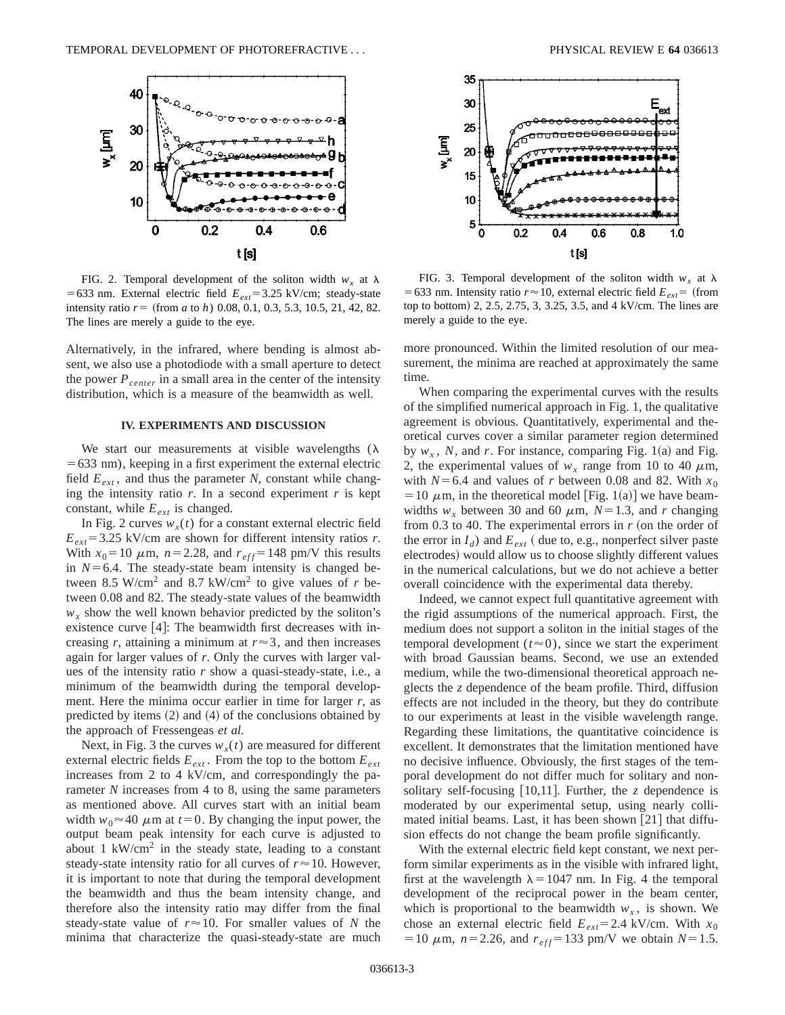

FIG. 2. Temporal development of the soliton width  $w_x$  at  $\lambda$  $=633$  nm. External electric field  $E_{ext} = 3.25$  kV/cm; steady-state intensity ratio  $r = ($ from  $a$  to  $h)$  0.08, 0.1, 0.3, 5.3, 10.5, 21, 42, 82. The lines are merely a guide to the eye.

Alternatively, in the infrared, where bending is almost absent, we also use a photodiode with a small aperture to detect the power  $P_{center}$  in a small area in the center of the intensity distribution, which is a measure of the beamwidth as well.

### **IV. EXPERIMENTS AND DISCUSSION**

We start our measurements at visible wavelengths  $(\lambda)$  $=633$  nm), keeping in a first experiment the external electric field  $E_{ext}$ , and thus the parameter *N*, constant while changing the intensity ratio  $r$ . In a second experiment  $r$  is kept constant, while  $E_{ext}$  is changed.

In Fig. 2 curves  $w_x(t)$  for a constant external electric field  $E_{ext}$ =3.25 kV/cm are shown for different intensity ratios *r*. With  $x_0 = 10 \mu \text{m}$ ,  $n = 2.28$ , and  $r_{eff} = 148 \text{ pm/V}$  this results in  $N=6.4$ . The steady-state beam intensity is changed between 8.5 W/cm<sup>2</sup> and 8.7 kW/cm<sup>2</sup> to give values of  $r$  between 0.08 and 82. The steady-state values of the beamwidth  $w_x$  show the well known behavior predicted by the soliton's existence curve  $[4]$ : The beamwidth first decreases with increasing *r*, attaining a minimum at  $r \approx 3$ , and then increases again for larger values of *r*. Only the curves with larger values of the intensity ratio *r* show a quasi-steady-state, i.e., a minimum of the beamwidth during the temporal development. Here the minima occur earlier in time for larger *r*, as predicted by items  $(2)$  and  $(4)$  of the conclusions obtained by the approach of Fressengeas *et al.*

Next, in Fig. 3 the curves  $w_x(t)$  are measured for different external electric fields  $E_{ext}$ . From the top to the bottom  $E_{ext}$ increases from 2 to 4 kV/cm, and correspondingly the parameter *N* increases from 4 to 8, using the same parameters as mentioned above. All curves start with an initial beam width  $w_0 \approx 40 \mu$ m at  $t=0$ . By changing the input power, the output beam peak intensity for each curve is adjusted to about 1  $\text{kW/cm}^2$  in the steady state, leading to a constant steady-state intensity ratio for all curves of  $r \approx 10$ . However, it is important to note that during the temporal development the beamwidth and thus the beam intensity change, and therefore also the intensity ratio may differ from the final steady-state value of  $r \approx 10$ . For smaller values of *N* the minima that characterize the quasi-steady-state are much



FIG. 3. Temporal development of the soliton width  $w_x$  at  $\lambda$ = 633 nm. Intensity ratio  $r \approx 10$ , external electric field  $E_{ext}$ = (from top to bottom) 2, 2.5, 2.75, 3, 3.25, 3.5, and 4 kV/cm. The lines are merely a guide to the eye.

more pronounced. Within the limited resolution of our measurement, the minima are reached at approximately the same time.

When comparing the experimental curves with the results of the simplified numerical approach in Fig. 1, the qualitative agreement is obvious. Quantitatively, experimental and theoretical curves cover a similar parameter region determined by  $w_x$ , N, and r. For instance, comparing Fig. 1(a) and Fig. 2, the experimental values of  $w_r$  range from 10 to 40  $\mu$ m, with  $N=6.4$  and values of *r* between 0.08 and 82. With  $x_0$  $=$  10  $\mu$ m, in the theoretical model [Fig. 1(a)] we have beamwidths  $w_r$  between 30 and 60  $\mu$ m,  $N=1.3$ , and *r* changing from 0.3 to 40. The experimental errors in  $r$  (on the order of the error in  $I_d$ ) and  $E_{ext}$  ( due to, e.g., nonperfect silver paste electrodes) would allow us to choose slightly different values in the numerical calculations, but we do not achieve a better overall coincidence with the experimental data thereby.

Indeed, we cannot expect full quantitative agreement with the rigid assumptions of the numerical approach. First, the medium does not support a soliton in the initial stages of the temporal development  $(t \approx 0)$ , since we start the experiment with broad Gaussian beams. Second, we use an extended medium, while the two-dimensional theoretical approach neglects the *z* dependence of the beam profile. Third, diffusion effects are not included in the theory, but they do contribute to our experiments at least in the visible wavelength range. Regarding these limitations, the quantitative coincidence is excellent. It demonstrates that the limitation mentioned have no decisive influence. Obviously, the first stages of the temporal development do not differ much for solitary and nonsolitary self-focusing  $\lceil 10,11 \rceil$ . Further, the *z* dependence is moderated by our experimental setup, using nearly collimated initial beams. Last, it has been shown  $\lceil 21 \rceil$  that diffusion effects do not change the beam profile significantly.

With the external electric field kept constant, we next perform similar experiments as in the visible with infrared light, first at the wavelength  $\lambda = 1047$  nm. In Fig. 4 the temporal development of the reciprocal power in the beam center, which is proportional to the beamwidth  $w<sub>x</sub>$ , is shown. We chose an external electric field  $E_{ext} = 2.4 \text{ kV/cm}$ . With  $x_0$  $= 10 \mu$ m,  $n = 2.26$ , and  $r_{eff} = 133 \text{ pm/V}$  we obtain  $N = 1.5$ .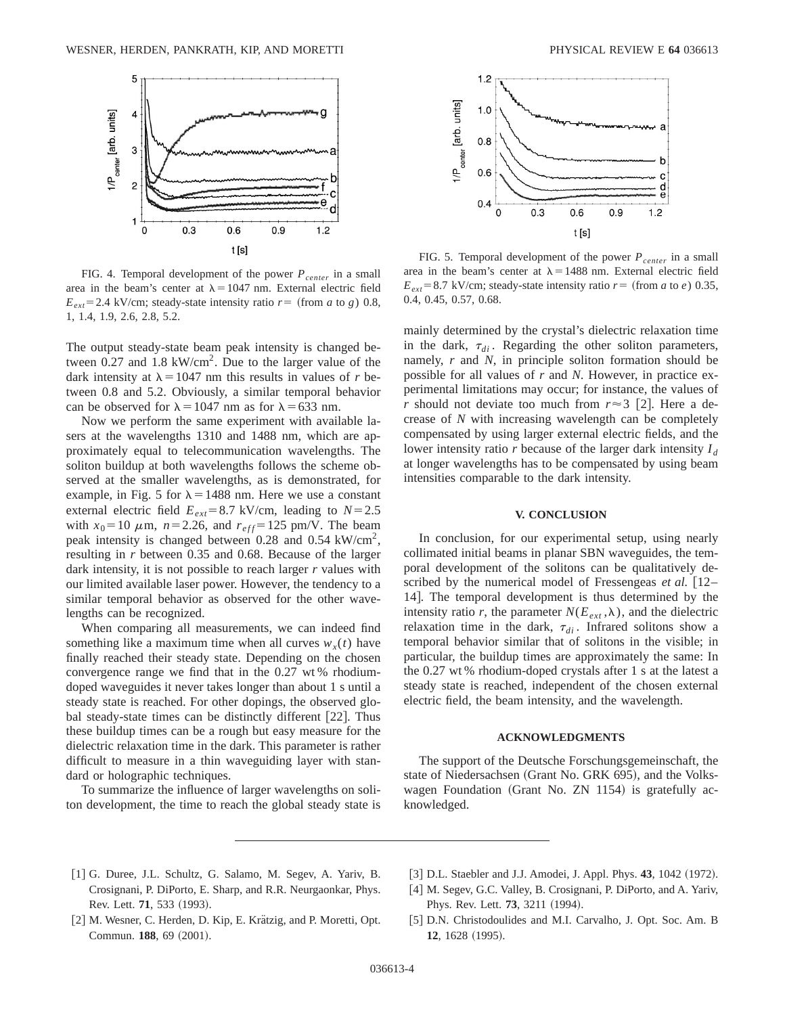

FIG. 4. Temporal development of the power  $P_{center}$  in a small area in the beam's center at  $\lambda = 1047$  nm. External electric field  $E_{ext}$ =2.4 kV/cm; steady-state intensity ratio  $r=$  (from *a* to *g*) 0.8, 1, 1.4, 1.9, 2.6, 2.8, 5.2.

The output steady-state beam peak intensity is changed between  $0.27$  and  $1.8 \text{ kW/cm}^2$ . Due to the larger value of the dark intensity at  $\lambda$  = 1047 nm this results in values of *r* between 0.8 and 5.2. Obviously, a similar temporal behavior can be observed for  $\lambda = 1047$  nm as for  $\lambda = 633$  nm.

Now we perform the same experiment with available lasers at the wavelengths 1310 and 1488 nm, which are approximately equal to telecommunication wavelengths. The soliton buildup at both wavelengths follows the scheme observed at the smaller wavelengths, as is demonstrated, for example, in Fig. 5 for  $\lambda = 1488$  nm. Here we use a constant external electric field  $E_{ext} = 8.7 \text{ kV/cm}$ , leading to  $N = 2.5$ with  $x_0 = 10 \mu \text{m}$ ,  $n = 2.26$ , and  $r_{eff} = 125 \text{ pm/V}$ . The beam peak intensity is changed between 0.28 and 0.54 kW/cm<sup>2</sup>, resulting in *r* between 0.35 and 0.68. Because of the larger dark intensity, it is not possible to reach larger *r* values with our limited available laser power. However, the tendency to a similar temporal behavior as observed for the other wavelengths can be recognized.

When comparing all measurements, we can indeed find something like a maximum time when all curves  $w_r(t)$  have finally reached their steady state. Depending on the chosen convergence range we find that in the 0.27 wt % rhodiumdoped waveguides it never takes longer than about 1 s until a steady state is reached. For other dopings, the observed global steady-state times can be distinctly different  $[22]$ . Thus these buildup times can be a rough but easy measure for the dielectric relaxation time in the dark. This parameter is rather difficult to measure in a thin waveguiding layer with standard or holographic techniques.

To summarize the influence of larger wavelengths on soliton development, the time to reach the global steady state is



FIG. 5. Temporal development of the power  $P_{center}$  in a small area in the beam's center at  $\lambda = 1488$  nm. External electric field  $E_{ext}$ =8.7 kV/cm; steady-state intensity ratio  $r=$  (from *a* to *e*) 0.35, 0.4, 0.45, 0.57, 0.68.

mainly determined by the crystal's dielectric relaxation time in the dark,  $\tau_{di}$ . Regarding the other soliton parameters, namely, *r* and *N*, in principle soliton formation should be possible for all values of *r* and *N*. However, in practice experimental limitations may occur; for instance, the values of *r* should not deviate too much from  $r \approx 3$  [2]. Here a decrease of *N* with increasing wavelength can be completely compensated by using larger external electric fields, and the lower intensity ratio *r* because of the larger dark intensity  $I_d$ at longer wavelengths has to be compensated by using beam intensities comparable to the dark intensity.

# **V. CONCLUSION**

In conclusion, for our experimental setup, using nearly collimated initial beams in planar SBN waveguides, the temporal development of the solitons can be qualitatively described by the numerical model of Fressengeas *et al.* [12– 14]. The temporal development is thus determined by the intensity ratio *r*, the parameter  $N(E_{ext}, \lambda)$ , and the dielectric relaxation time in the dark,  $\tau_{di}$ . Infrared solitons show a temporal behavior similar that of solitons in the visible; in particular, the buildup times are approximately the same: In the 0.27 wt % rhodium-doped crystals after 1 s at the latest a steady state is reached, independent of the chosen external electric field, the beam intensity, and the wavelength.

### **ACKNOWLEDGMENTS**

The support of the Deutsche Forschungsgemeinschaft, the state of Niedersachsen (Grant No. GRK 695), and the Volkswagen Foundation (Grant No. ZN  $1154$ ) is gratefully acknowledged.

- [1] G. Duree, J.L. Schultz, G. Salamo, M. Segev, A. Yariv, B. Crosignani, P. DiPorto, E. Sharp, and R.R. Neurgaonkar, Phys. Rev. Lett. **71**, 533 (1993).
- [3] D.L. Staebler and J.J. Amodei, J. Appl. Phys. 43, 1042 (1972).
- [4] M. Segev, G.C. Valley, B. Crosignani, P. DiPorto, and A. Yariv, Phys. Rev. Lett. **73**, 3211 (1994).
- [2] M. Wesner, C. Herden, D. Kip, E. Krätzig, and P. Moretti, Opt. Commun. 188, 69 (2001).
- D.N. Christodoulides and M.I. Carvalho, J. Opt. Soc. Am. B **12**, 1628 (1995).